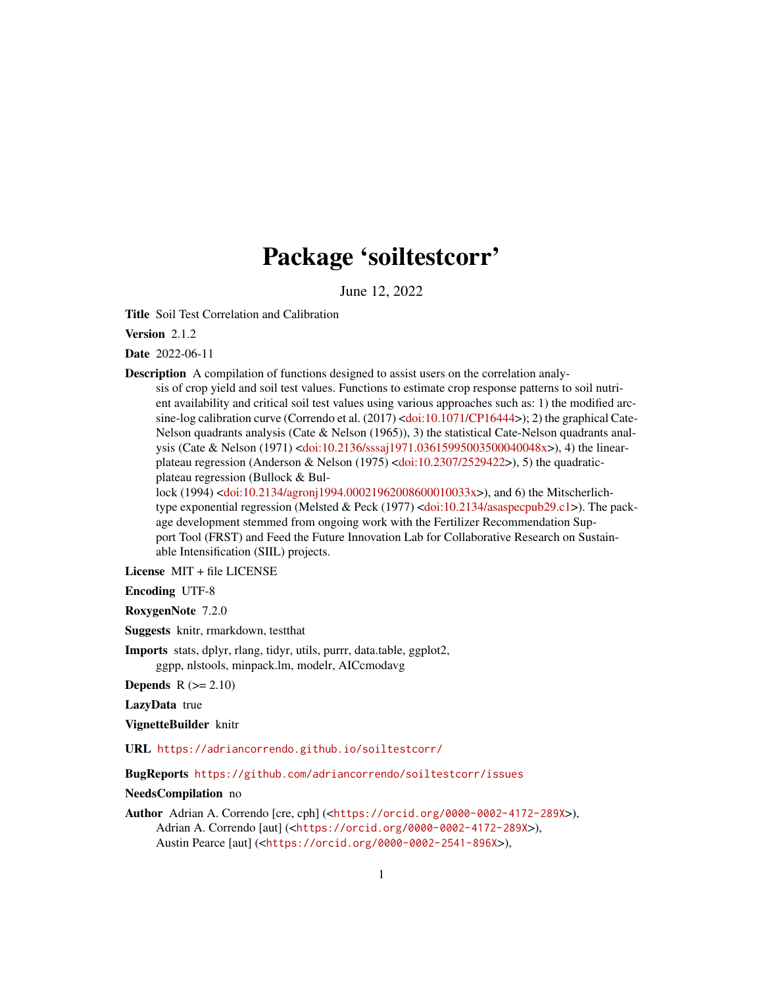## Package 'soiltestcorr'

June 12, 2022

<span id="page-0-0"></span>Title Soil Test Correlation and Calibration

Version 2.1.2

Date 2022-06-11

Description A compilation of functions designed to assist users on the correlation analy-

sis of crop yield and soil test values. Functions to estimate crop response patterns to soil nutrient availability and critical soil test values using various approaches such as: 1) the modified arc-sine-log calibration curve (Correndo et al. (2017) [<doi:10.1071/CP16444>](https://doi.org/10.1071/CP16444)); 2) the graphical Cate-Nelson quadrants analysis (Cate & Nelson  $(1965)$ ), 3) the statistical Cate-Nelson quadrants analysis (Cate & Nelson (1971) [<doi:10.2136/sssaj1971.03615995003500040048x>](https://doi.org/10.2136/sssaj1971.03615995003500040048x)), 4) the linear-plateau regression (Anderson & Nelson (1975) [<doi:10.2307/2529422>](https://doi.org/10.2307/2529422)), 5) the quadraticplateau regression (Bullock & Bul-

lock (1994) [<doi:10.2134/agronj1994.00021962008600010033x>](https://doi.org/10.2134/agronj1994.00021962008600010033x)), and 6) the Mitscherlichtype exponential regression (Melsted & Peck (1977) [<doi:10.2134/asaspecpub29.c1>](https://doi.org/10.2134/asaspecpub29.c1)). The package development stemmed from ongoing work with the Fertilizer Recommendation Support Tool (FRST) and Feed the Future Innovation Lab for Collaborative Research on Sustainable Intensification (SIIL) projects.

License MIT + file LICENSE

Encoding UTF-8

RoxygenNote 7.2.0

Suggests knitr, rmarkdown, testthat

Imports stats, dplyr, rlang, tidyr, utils, purrr, data.table, ggplot2, ggpp, nlstools, minpack.lm, modelr, AICcmodavg

Depends  $R (= 2.10)$ 

LazyData true

VignetteBuilder knitr

URL <https://adriancorrendo.github.io/soiltestcorr/>

BugReports <https://github.com/adriancorrendo/soiltestcorr/issues>

NeedsCompilation no

Author Adrian A. Correndo [cre, cph] (<<https://orcid.org/0000-0002-4172-289X>>), Adrian A. Correndo [aut] (<<https://orcid.org/0000-0002-4172-289X>>), Austin Pearce [aut] (<<https://orcid.org/0000-0002-2541-896X>>),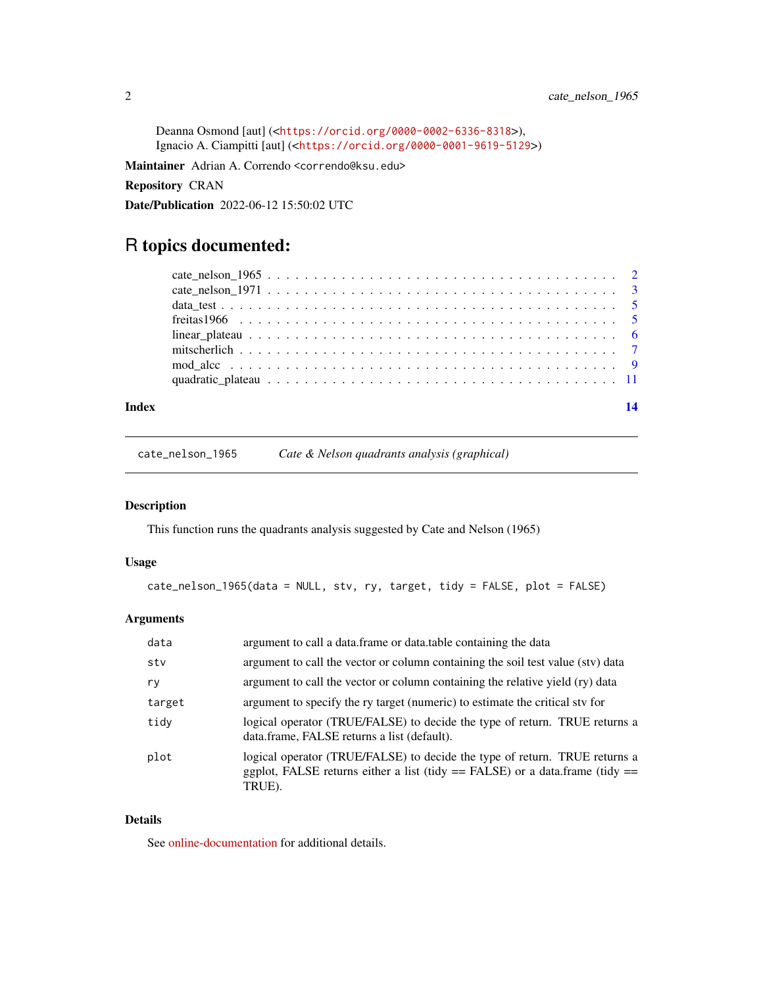<span id="page-1-0"></span>Deanna Osmond [aut] (<<https://orcid.org/0000-0002-6336-8318>>), Ignacio A. Ciampitti [aut] (<<https://orcid.org/0000-0001-9619-5129>>)

Maintainer Adrian A. Correndo <correndo@ksu.edu>

Repository CRAN

Date/Publication 2022-06-12 15:50:02 UTC

## R topics documented:

| Index |  |
|-------|--|
|       |  |
|       |  |
|       |  |
|       |  |
|       |  |
|       |  |
|       |  |
|       |  |

cate\_nelson\_1965 *Cate & Nelson quadrants analysis (graphical)*

## Description

This function runs the quadrants analysis suggested by Cate and Nelson (1965)

#### Usage

```
cate_nelson_1965(data = NULL, stv, ry, target, tidy = FALSE, plot = FALSE)
```
## Arguments

| data   | argument to call a data. frame or data. table containing the data                                                                                                        |
|--------|--------------------------------------------------------------------------------------------------------------------------------------------------------------------------|
| stv    | argument to call the vector or column containing the soil test value (stv) data                                                                                          |
| ry     | argument to call the vector or column containing the relative yield (ry) data                                                                                            |
| target | argument to specify the ry target (numeric) to estimate the critical stv for                                                                                             |
| tidy   | logical operator (TRUE/FALSE) to decide the type of return. TRUE returns a<br>data.frame, FALSE returns a list (default).                                                |
| plot   | logical operator (TRUE/FALSE) to decide the type of return. TRUE returns a<br>ggplot, FALSE returns either a list (tidy $==$ FALSE) or a data.frame (tidy $==$<br>TRUE). |

## Details

See [online-documentation](https://adriancorrendo.github.io/soiltestcorr/articles/cate_nelson_1965_tutorial.html) for additional details.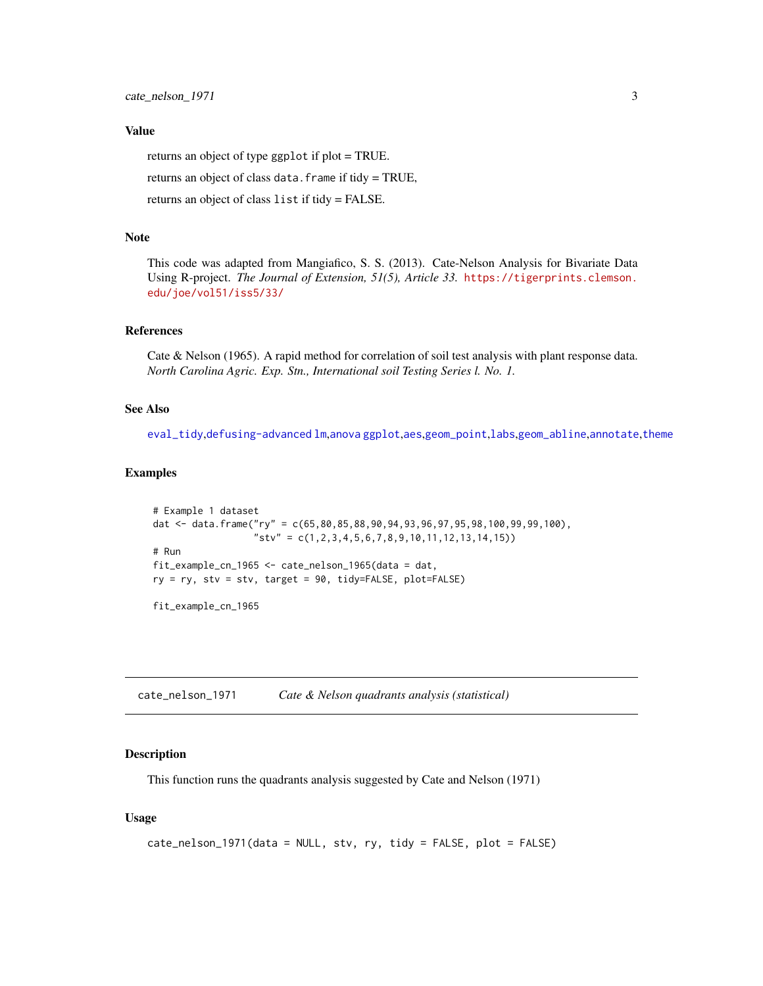### <span id="page-2-0"></span>Value

returns an object of type ggplot if plot = TRUE.

returns an object of class data.frame if tidy = TRUE,

returns an object of class list if tidy = FALSE.

#### Note

This code was adapted from Mangiafico, S. S. (2013). Cate-Nelson Analysis for Bivariate Data Using R-project. *The Journal of Extension, 51(5), Article 33.* [https://tigerprints.clemson.](https://tigerprints.clemson.edu/joe/vol51/iss5/33/) [edu/joe/vol51/iss5/33/](https://tigerprints.clemson.edu/joe/vol51/iss5/33/)

#### References

Cate & Nelson (1965). A rapid method for correlation of soil test analysis with plant response data. *North Carolina Agric. Exp. Stn., International soil Testing Series l. No. 1.*

#### See Also

[eval\\_tidy](#page-0-0),[defusing-advanced](#page-0-0) [lm](#page-0-0),[anova](#page-0-0) [ggplot](#page-0-0),[aes](#page-0-0),[geom\\_point](#page-0-0),[labs](#page-0-0),[geom\\_abline](#page-0-0),[annotate](#page-0-0),[theme](#page-0-0)

#### Examples

```
# Example 1 dataset
dat <- data.frame("ry" = c(65,80,85,88,90,94,93,96,97,95,98,100,99,99,100),
                  "stv" = c(1,2,3,4,5,6,7,8,9,10,11,12,13,14,15))
# Run
fit_example_cn_1965 <- cate_nelson_1965(data = dat,
ry = ry, stv = stv, target = 90, tidy=FALSE, plot=FALSE)
```
fit\_example\_cn\_1965

cate\_nelson\_1971 *Cate & Nelson quadrants analysis (statistical)*

#### Description

This function runs the quadrants analysis suggested by Cate and Nelson (1971)

#### Usage

```
cate_nelson_1971(data = NULL, stv, ry, tidy = FALSE, plot = FALSE)
```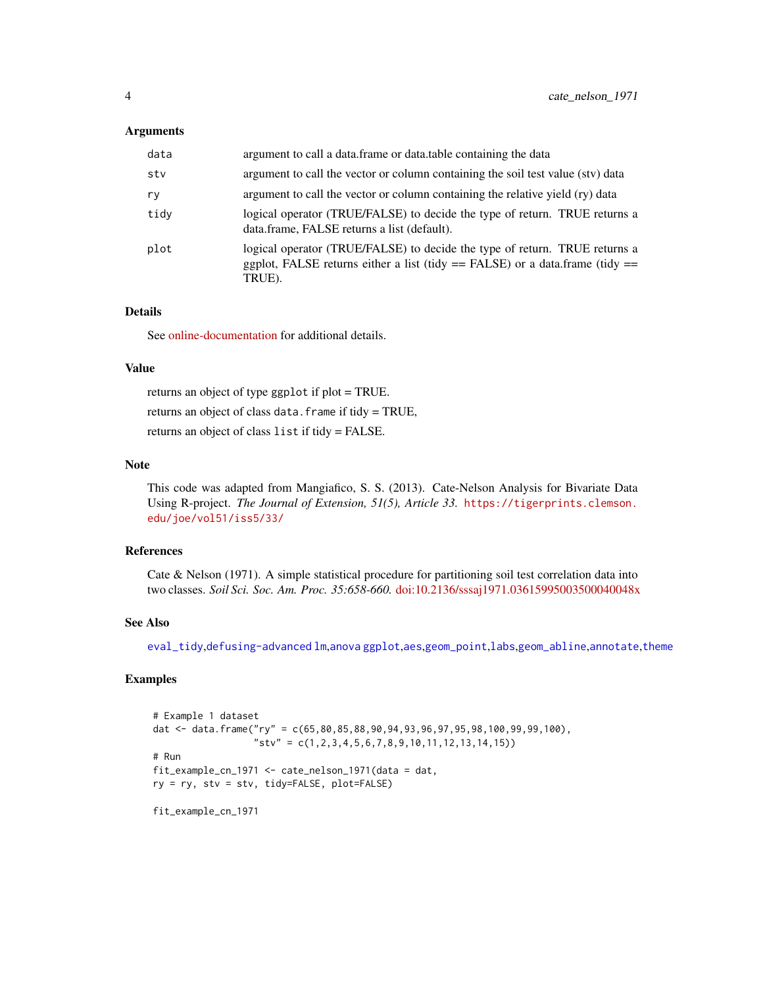#### <span id="page-3-0"></span>**Arguments**

| data | argument to call a data. frame or data, table containing the data                                                                                                        |
|------|--------------------------------------------------------------------------------------------------------------------------------------------------------------------------|
| stv  | argument to call the vector or column containing the soil test value (stv) data                                                                                          |
| rv   | argument to call the vector or column containing the relative yield (ry) data                                                                                            |
| tidy | logical operator (TRUE/FALSE) to decide the type of return. TRUE returns a<br>data.frame, FALSE returns a list (default).                                                |
| plot | logical operator (TRUE/FALSE) to decide the type of return. TRUE returns a<br>ggplot, FALSE returns either a list (tidy $==$ FALSE) or a data.frame (tidy $==$<br>TRUE). |

#### Details

See [online-documentation](https://adriancorrendo.github.io/soiltestcorr/articles/cate_nelson_1971_tutorial.html) for additional details.

#### Value

returns an object of type ggplot if plot = TRUE.

returns an object of class data.frame if tidy = TRUE,

returns an object of class list if tidy = FALSE.

#### Note

This code was adapted from Mangiafico, S. S. (2013). Cate-Nelson Analysis for Bivariate Data Using R-project. *The Journal of Extension, 51(5), Article 33.* [https://tigerprints.clemson.](https://tigerprints.clemson.edu/joe/vol51/iss5/33/) [edu/joe/vol51/iss5/33/](https://tigerprints.clemson.edu/joe/vol51/iss5/33/)

#### References

Cate & Nelson (1971). A simple statistical procedure for partitioning soil test correlation data into two classes. *Soil Sci. Soc. Am. Proc. 35:658-660.* [doi:10.2136/sssaj1971.03615995003500040048x](https://doi.org/10.2136/sssaj1971.03615995003500040048x)

## See Also

[eval\\_tidy](#page-0-0),[defusing-advanced](#page-0-0) [lm](#page-0-0),[anova](#page-0-0) [ggplot](#page-0-0),[aes](#page-0-0),[geom\\_point](#page-0-0),[labs](#page-0-0),[geom\\_abline](#page-0-0),[annotate](#page-0-0),[theme](#page-0-0)

#### Examples

# Example 1 dataset dat <- data.frame("ry" = c(65,80,85,88,90,94,93,96,97,95,98,100,99,99,100), "stv" = c(1,2,3,4,5,6,7,8,9,10,11,12,13,14,15)) # Run fit\_example\_cn\_1971 <- cate\_nelson\_1971(data = dat, ry = ry, stv = stv, tidy=FALSE, plot=FALSE)

fit\_example\_cn\_1971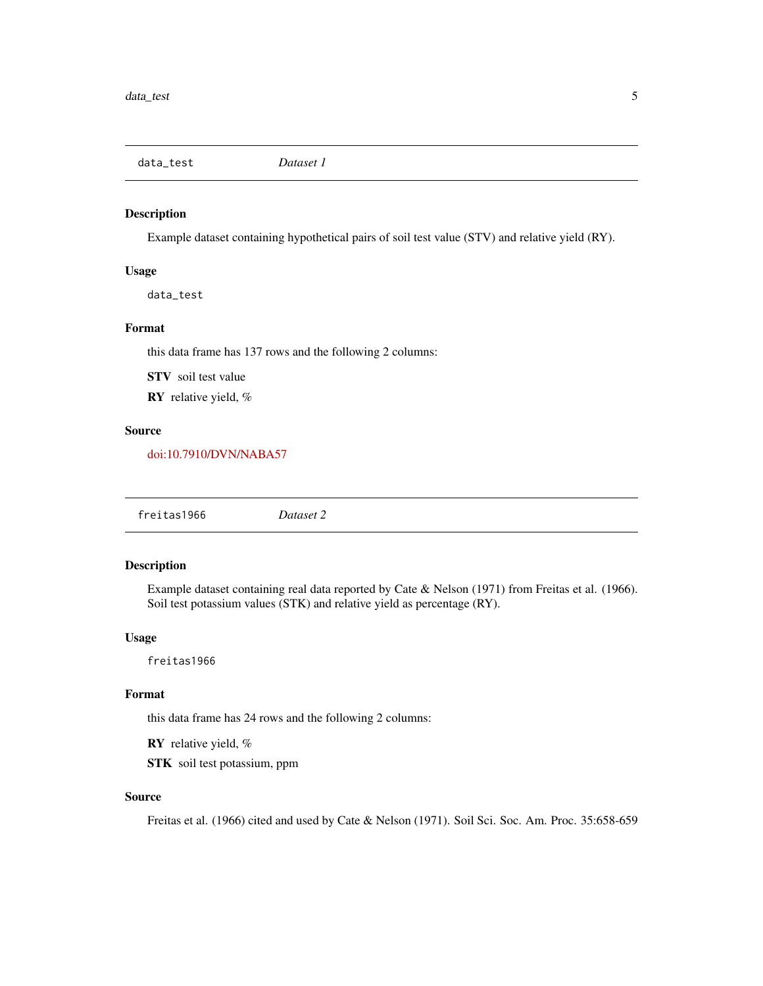<span id="page-4-0"></span>data\_test *Dataset 1*

#### Description

Example dataset containing hypothetical pairs of soil test value (STV) and relative yield (RY).

#### Usage

data\_test

## Format

this data frame has 137 rows and the following 2 columns:

STV soil test value

RY relative yield, %

## Source

[doi:10.7910/DVN/NABA57](https://doi.org/10.7910/DVN/NABA57)

freitas1966 *Dataset 2*

#### Description

Example dataset containing real data reported by Cate & Nelson (1971) from Freitas et al. (1966). Soil test potassium values (STK) and relative yield as percentage (RY).

### Usage

freitas1966

## Format

this data frame has 24 rows and the following 2 columns:

RY relative yield, %

STK soil test potassium, ppm

## Source

Freitas et al. (1966) cited and used by Cate & Nelson (1971). Soil Sci. Soc. Am. Proc. 35:658-659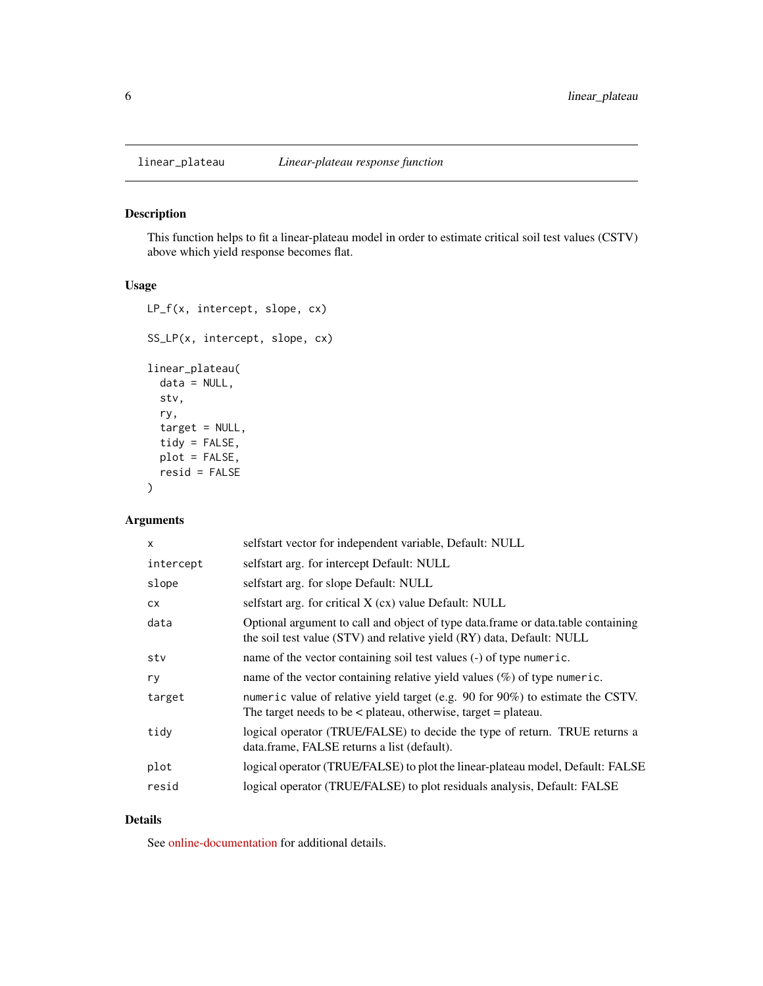<span id="page-5-0"></span>

## Description

This function helps to fit a linear-plateau model in order to estimate critical soil test values (CSTV) above which yield response becomes flat.

#### Usage

```
LP_f(x, intercept, slope, cx)
SS_LP(x, intercept, slope, cx)
linear_plateau(
 data = NULL,
  stv,
  ry,
  target = NULL,
  tidy = FALSE,
 plot = FALSE,
  resid = FALSE
\mathcal{L}
```
## Arguments

| $\mathsf{x}$ | selfstart vector for independent variable, Default: NULL                                                                                                    |
|--------------|-------------------------------------------------------------------------------------------------------------------------------------------------------------|
| intercept    | selfstart arg. for intercept Default: NULL                                                                                                                  |
| slope        | selfstart arg. for slope Default: NULL                                                                                                                      |
| CX.          | selfstart arg. for critical X (cx) value Default: NULL                                                                                                      |
| data         | Optional argument to call and object of type data. frame or data. table containing<br>the soil test value (STV) and relative yield (RY) data, Default: NULL |
| stv          | name of the vector containing soil test values (-) of type numeric.                                                                                         |
| ry           | name of the vector containing relative yield values $(\%)$ of type numeric.                                                                                 |
| target       | numeric value of relative yield target (e.g. 90 for 90%) to estimate the CSTV.<br>The target needs to be $\lt$ plateau, otherwise, target $=$ plateau.      |
| tidy         | logical operator (TRUE/FALSE) to decide the type of return. TRUE returns a<br>data.frame, FALSE returns a list (default).                                   |
| plot         | logical operator (TRUE/FALSE) to plot the linear-plateau model, Default: FALSE                                                                              |
| resid        | logical operator (TRUE/FALSE) to plot residuals analysis, Default: FALSE                                                                                    |
|              |                                                                                                                                                             |

#### Details

See [online-documentation](https://adriancorrendo.github.io/soiltestcorr/articles/linear_plateau_tutorial.html) for additional details.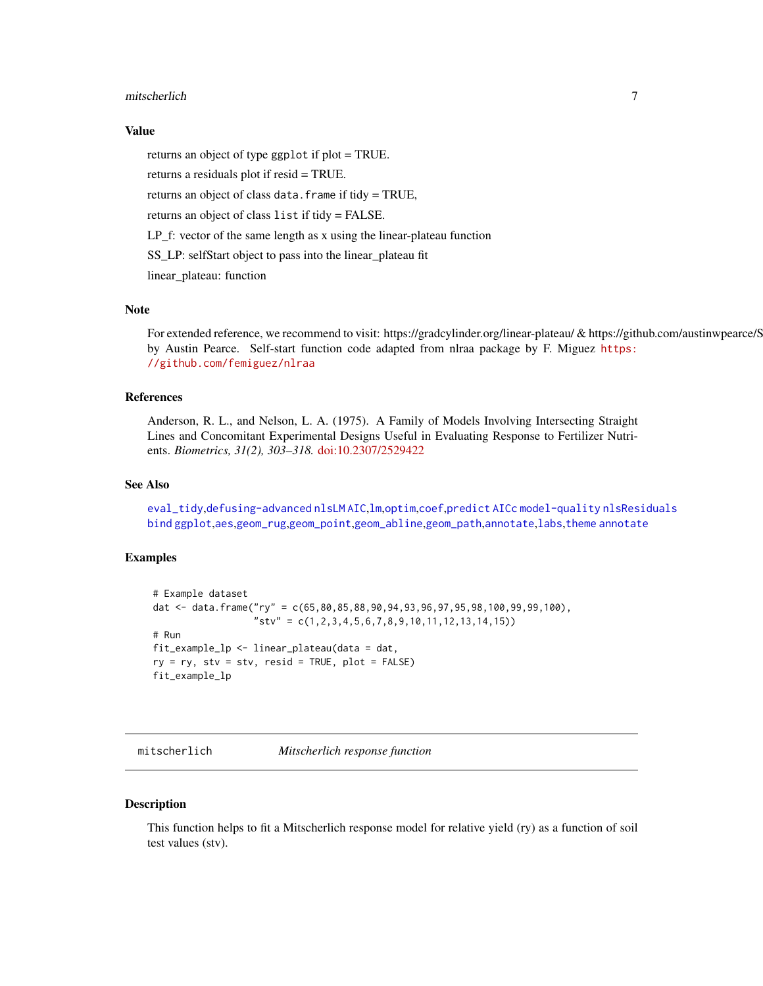#### <span id="page-6-0"></span>mitscherlich 7

### Value

returns an object of type ggplot if plot = TRUE.

returns a residuals plot if resid = TRUE.

returns an object of class data.frame if tidy = TRUE,

returns an object of class list if tidy = FALSE.

LP\_f: vector of the same length as x using the linear-plateau function

SS\_LP: selfStart object to pass into the linear\_plateau fit

linear\_plateau: function

## Note

For extended reference, we recommend to visit: https://gradcylinder.org/linear-plateau/ & https://github.com/austinwpearce/S by Austin Pearce. Self-start function code adapted from nlraa package by F. Miguez [https:](https://github.com/femiguez/nlraa) [//github.com/femiguez/nlraa](https://github.com/femiguez/nlraa)

#### References

Anderson, R. L., and Nelson, L. A. (1975). A Family of Models Involving Intersecting Straight Lines and Concomitant Experimental Designs Useful in Evaluating Response to Fertilizer Nutrients. *Biometrics, 31(2), 303–318.* [doi:10.2307/2529422](https://doi.org/10.2307/2529422)

### See Also

[eval\\_tidy](#page-0-0),[defusing-advanced](#page-0-0) [nlsLM](#page-0-0) [AIC](#page-0-0),[lm](#page-0-0),[optim](#page-0-0),[coef](#page-0-0),[predict](#page-0-0) [AICc](#page-0-0) [model-quality](#page-0-0) [nlsResiduals](#page-0-0) [bind](#page-0-0) [ggplot](#page-0-0),[aes](#page-0-0),[geom\\_rug](#page-0-0),[geom\\_point](#page-0-0),[geom\\_abline](#page-0-0),[geom\\_path](#page-0-0),[annotate](#page-0-0),[labs](#page-0-0),[theme](#page-0-0) [annotate](#page-0-0)

#### Examples

```
# Example dataset
dat <- data.frame("ry" = c(65,80,85,88,90,94,93,96,97,95,98,100,99,99,100),
                  "stv" = c(1,2,3,4,5,6,7,8,9,10,11,12,13,14,15))
# Run
fit_example_lp <- linear_plateau(data = dat,
ry = ry, stv = stv, resid = TRUE, plot = FALSE)
fit_example_lp
```
mitscherlich *Mitscherlich response function*

#### Description

This function helps to fit a Mitscherlich response model for relative yield (ry) as a function of soil test values (stv).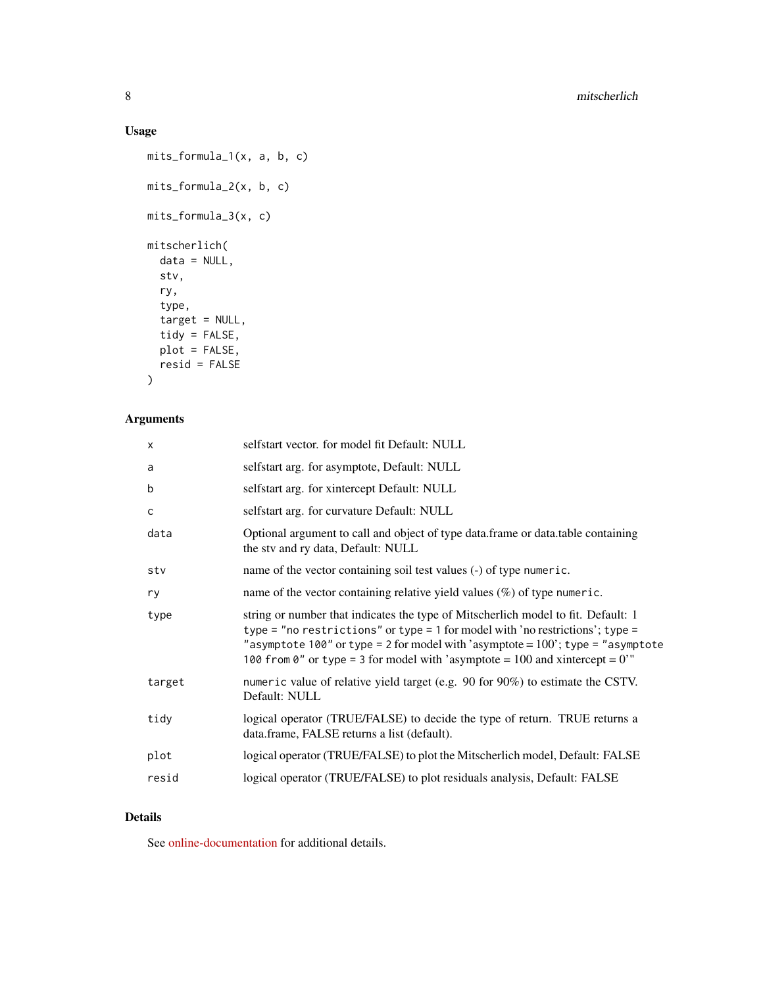## Usage

```
mits_formula_1(x, a, b, c)
mits_formula_2(x, b, c)
mits_formula_3(x, c)
mitscherlich(
 data = NULL,
 stv,
 ry,
  type,
  target = NULL,tidy = FALSE,
 plot = FALSE,
 resid = FALSE
```
## )

## Arguments

| X      | selfstart vector. for model fit Default: NULL                                                                                                                                                                                                                                                                                                 |
|--------|-----------------------------------------------------------------------------------------------------------------------------------------------------------------------------------------------------------------------------------------------------------------------------------------------------------------------------------------------|
| a      | selfstart arg. for asymptote, Default: NULL                                                                                                                                                                                                                                                                                                   |
| b      | selfstart arg. for xintercept Default: NULL                                                                                                                                                                                                                                                                                                   |
| C      | selfstart arg. for curvature Default: NULL                                                                                                                                                                                                                                                                                                    |
| data   | Optional argument to call and object of type data. frame or data. table containing<br>the stv and ry data, Default: NULL                                                                                                                                                                                                                      |
| stv    | name of the vector containing soil test values (-) of type numeric.                                                                                                                                                                                                                                                                           |
| ry     | name of the vector containing relative yield values $(\%)$ of type numeric.                                                                                                                                                                                                                                                                   |
| type   | string or number that indicates the type of Mitscherlich model to fit. Default: 1<br>type = "no restrictions" or type = 1 for model with 'no restrictions'; type =<br>"asymptote 100" or type = 2 for model with 'asymptote = $100$ '; type = "asymptote<br>100 from 0" or type = 3 for model with 'asymptote = $100$ and xintercept = $0$ '" |
| target | numeric value of relative yield target (e.g. 90 for 90%) to estimate the CSTV.<br>Default: NULL                                                                                                                                                                                                                                               |
| tidy   | logical operator (TRUE/FALSE) to decide the type of return. TRUE returns a<br>data.frame, FALSE returns a list (default).                                                                                                                                                                                                                     |
| plot   | logical operator (TRUE/FALSE) to plot the Mitscherlich model, Default: FALSE                                                                                                                                                                                                                                                                  |
| resid  | logical operator (TRUE/FALSE) to plot residuals analysis, Default: FALSE                                                                                                                                                                                                                                                                      |
|        |                                                                                                                                                                                                                                                                                                                                               |

## Details

See [online-documentation](https://adriancorrendo.github.io/soiltestcorr/articles/mitscherlich_tutorial.html) for additional details.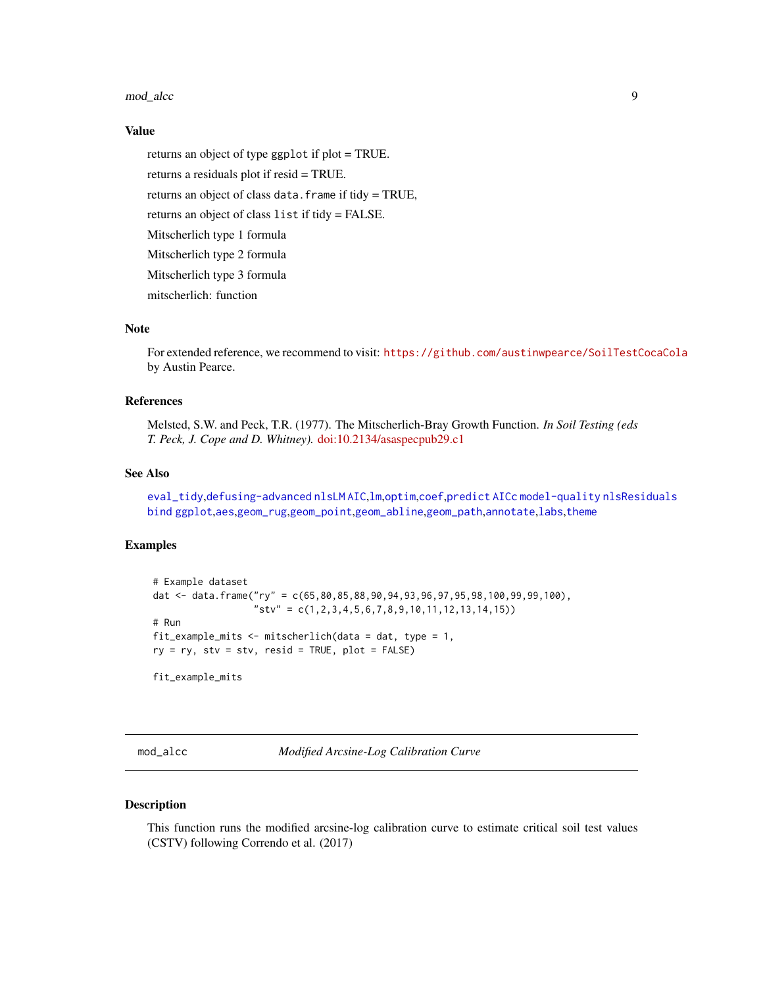#### <span id="page-8-0"></span>mod\_alcc 9

### Value

returns an object of type ggplot if plot = TRUE. returns a residuals plot if resid = TRUE. returns an object of class data.frame if tidy = TRUE, returns an object of class list if tidy = FALSE. Mitscherlich type 1 formula Mitscherlich type 2 formula Mitscherlich type 3 formula mitscherlich: function

## Note

For extended reference, we recommend to visit: <https://github.com/austinwpearce/SoilTestCocaCola> by Austin Pearce.

#### References

Melsted, S.W. and Peck, T.R. (1977). The Mitscherlich-Bray Growth Function. *In Soil Testing (eds T. Peck, J. Cope and D. Whitney).* [doi:10.2134/asaspecpub29.c1](https://doi.org/10.2134/asaspecpub29.c1)

#### See Also

[eval\\_tidy](#page-0-0),[defusing-advanced](#page-0-0) [nlsLM](#page-0-0) [AIC](#page-0-0),[lm](#page-0-0),[optim](#page-0-0),[coef](#page-0-0),[predict](#page-0-0) [AICc](#page-0-0) [model-quality](#page-0-0) [nlsResiduals](#page-0-0) [bind](#page-0-0) [ggplot](#page-0-0),[aes](#page-0-0),[geom\\_rug](#page-0-0),[geom\\_point](#page-0-0),[geom\\_abline](#page-0-0),[geom\\_path](#page-0-0),[annotate](#page-0-0),[labs](#page-0-0),[theme](#page-0-0)

#### Examples

```
# Example dataset
dat <- data.frame("ry" = c(65,80,85,88,90,94,93,96,97,95,98,100,99,99,100),
                  "stv" = c(1,2,3,4,5,6,7,8,9,10,11,12,13,14,15))
# Run
fit_example_mits <- mitscherlich(data = dat, type = 1,
ry = ry, stv = stv, resid = TRUE, plot = FALSE)
fit_example_mits
```
mod\_alcc *Modified Arcsine-Log Calibration Curve*

### Description

This function runs the modified arcsine-log calibration curve to estimate critical soil test values (CSTV) following Correndo et al. (2017)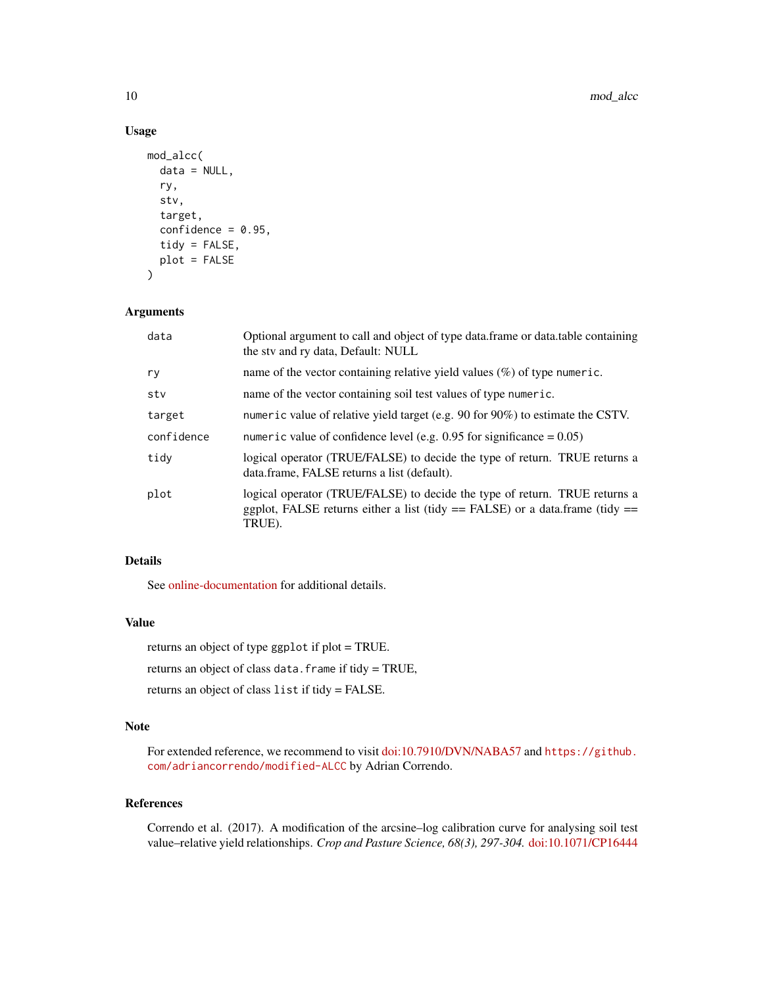## Usage

```
mod_alcc(
  data = NULL,ry,
  stv,
  target,
  confidence = 0.95,
  tidy = FALSE,plot = FALSE
\mathcal{L}
```
## Arguments

| data       | Optional argument to call and object of type data. frame or data. table containing<br>the stv and ry data, Default: NULL                                                 |
|------------|--------------------------------------------------------------------------------------------------------------------------------------------------------------------------|
| ry         | name of the vector containing relative yield values $(\%)$ of type numeric.                                                                                              |
| stv        | name of the vector containing soil test values of type numeric.                                                                                                          |
| target     | numeric value of relative yield target (e.g. 90 for 90%) to estimate the CSTV.                                                                                           |
| confidence | numeric value of confidence level (e.g. $0.95$ for significance = 0.05)                                                                                                  |
| tidy       | logical operator (TRUE/FALSE) to decide the type of return. TRUE returns a<br>data.frame, FALSE returns a list (default).                                                |
| plot       | logical operator (TRUE/FALSE) to decide the type of return. TRUE returns a<br>ggplot, FALSE returns either a list (tidy $==$ FALSE) or a data.frame (tidy $==$<br>TRUE). |

## Details

See [online-documentation](https://adriancorrendo.github.io/soiltestcorr/articles/mod_alcc_tutorial.html) for additional details.

#### Value

returns an object of type ggplot if plot = TRUE.

returns an object of class data.frame if tidy = TRUE,

returns an object of class list if tidy = FALSE.

## Note

For extended reference, we recommend to visit [doi:10.7910/DVN/NABA57](https://doi.org/10.7910/DVN/NABA57) and [https://github.](https://github.com/adriancorrendo/modified-ALCC) [com/adriancorrendo/modified-ALCC](https://github.com/adriancorrendo/modified-ALCC) by Adrian Correndo.

## References

Correndo et al. (2017). A modification of the arcsine–log calibration curve for analysing soil test value–relative yield relationships. *Crop and Pasture Science, 68(3), 297-304.* [doi:10.1071/CP16444](https://doi.org/10.1071/CP16444)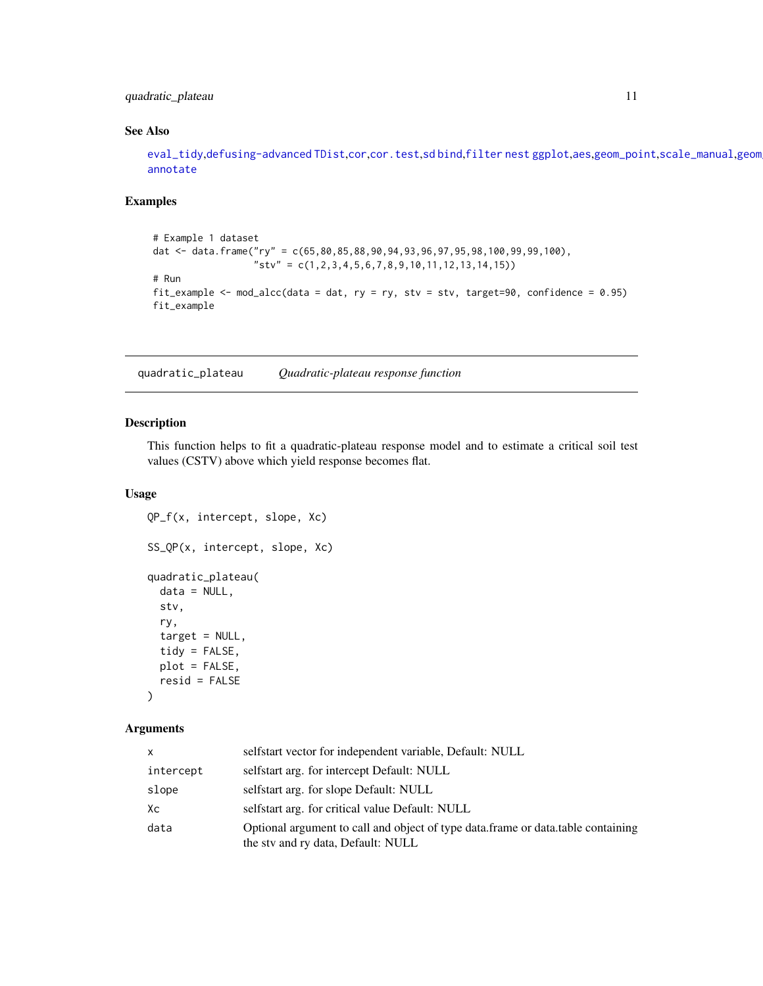## <span id="page-10-0"></span>quadratic\_plateau 11

## See Also

[eval\\_tidy](#page-0-0),[defusing-advanced](#page-0-0) [TDist](#page-0-0),[cor](#page-0-0),[cor.test](#page-0-0),[sd](#page-0-0) [bind](#page-0-0),[filter](#page-0-0) [nest](#page-0-0) [ggplot](#page-0-0),[aes](#page-0-0),[geom\\_point](#page-0-0),[scale\\_manual](#page-0-0),geom [annotate](#page-0-0)

## Examples

```
# Example 1 dataset
dat <- data.frame("ry" = c(65,80,85,88,90,94,93,96,97,95,98,100,99,99,100),
                  "stv" = c(1,2,3,4,5,6,7,8,9,10,11,12,13,14,15))
# Run
fit_example \leq mod_alcc(data = dat, ry = ry, stv = stv, target=90, confidence = 0.95)
fit_example
```
quadratic\_plateau *Quadratic-plateau response function*

#### Description

This function helps to fit a quadratic-plateau response model and to estimate a critical soil test values (CSTV) above which yield response becomes flat.

## Usage

```
QP_f(x, intercept, slope, Xc)
SS_QP(x, intercept, slope, Xc)
quadratic_plateau(
  data = NULL,
  stv,
  ry,
  target = NULL,tidy = FALSE,
 plot = FALSE,
  resid = FALSE
```
)

#### Arguments

| x         | selfstart vector for independent variable, Default: NULL                                                               |
|-----------|------------------------------------------------------------------------------------------------------------------------|
| intercept | selfstart arg. for intercept Default: NULL                                                                             |
| slope     | selfstart arg. for slope Default: NULL                                                                                 |
| Xс        | selfstart arg. for critical value Default: NULL                                                                        |
| data      | Optional argument to call and object of type data.frame or data.table containing<br>the sty and ry data, Default: NULL |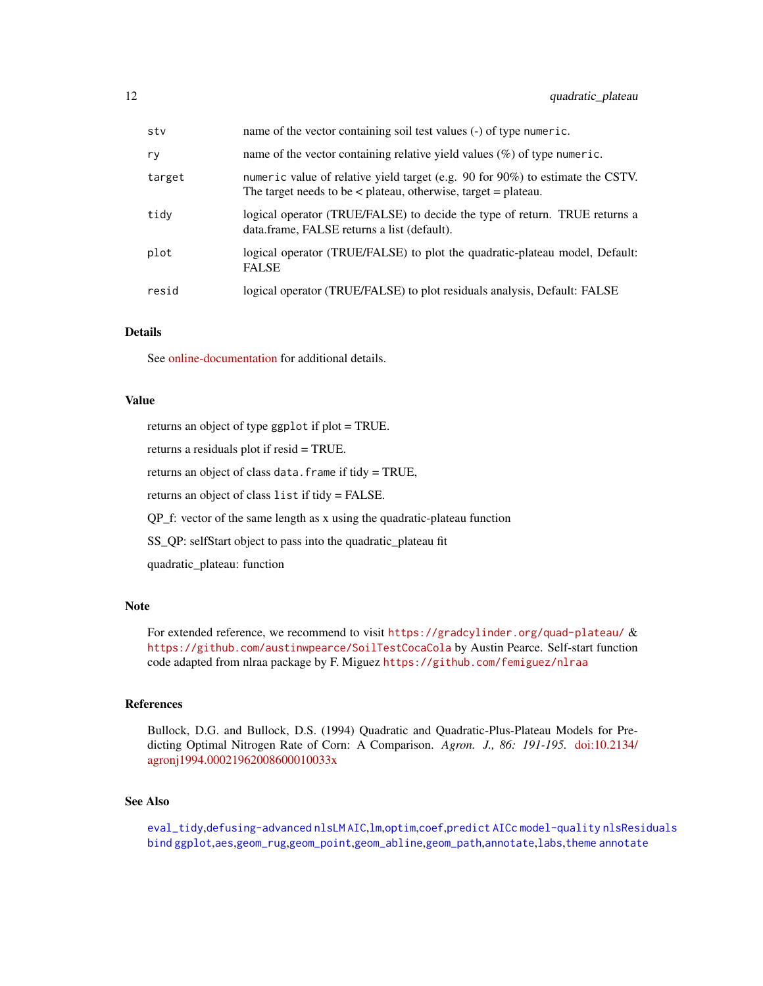<span id="page-11-0"></span>

| stv    | name of the vector containing soil test values (-) of type numeric.                                                                                    |
|--------|--------------------------------------------------------------------------------------------------------------------------------------------------------|
| ry     | name of the vector containing relative yield values $(\%)$ of type numeric.                                                                            |
| target | numeric value of relative yield target (e.g. 90 for 90%) to estimate the CSTV.<br>The target needs to be $\lt$ plateau, otherwise, target $=$ plateau. |
| tidv   | logical operator (TRUE/FALSE) to decide the type of return. TRUE returns a<br>data.frame, FALSE returns a list (default).                              |
| plot   | logical operator (TRUE/FALSE) to plot the quadratic-plateau model, Default:<br><b>FALSE</b>                                                            |
| resid  | logical operator (TRUE/FALSE) to plot residuals analysis, Default: FALSE                                                                               |

#### Details

See [online-documentation](https://adriancorrendo.github.io/soiltestcorr/articles/quadratic_plateau_tutorial.html) for additional details.

#### Value

returns an object of type ggplot if plot = TRUE. returns a residuals plot if resid = TRUE.

returns an object of class data.frame if tidy = TRUE,

returns an object of class list if tidy = FALSE.

QP\_f: vector of the same length as x using the quadratic-plateau function

SS\_QP: selfStart object to pass into the quadratic\_plateau fit

quadratic\_plateau: function

#### Note

For extended reference, we recommend to visit <https://gradcylinder.org/quad-plateau/> & <https://github.com/austinwpearce/SoilTestCocaCola> by Austin Pearce. Self-start function code adapted from nlraa package by F. Miguez <https://github.com/femiguez/nlraa>

#### References

Bullock, D.G. and Bullock, D.S. (1994) Quadratic and Quadratic-Plus-Plateau Models for Predicting Optimal Nitrogen Rate of Corn: A Comparison. *Agron. J., 86: 191-195.* [doi:10.2134/](https://doi.org/10.2134/agronj1994.00021962008600010033x) [agronj1994.00021962008600010033x](https://doi.org/10.2134/agronj1994.00021962008600010033x)

#### See Also

[eval\\_tidy](#page-0-0),[defusing-advanced](#page-0-0) [nlsLM](#page-0-0) [AIC](#page-0-0),[lm](#page-0-0),[optim](#page-0-0),[coef](#page-0-0),[predict](#page-0-0) [AICc](#page-0-0) [model-quality](#page-0-0) [nlsResiduals](#page-0-0) [bind](#page-0-0) [ggplot](#page-0-0),[aes](#page-0-0),[geom\\_rug](#page-0-0),[geom\\_point](#page-0-0),[geom\\_abline](#page-0-0),[geom\\_path](#page-0-0),[annotate](#page-0-0),[labs](#page-0-0),[theme](#page-0-0) [annotate](#page-0-0)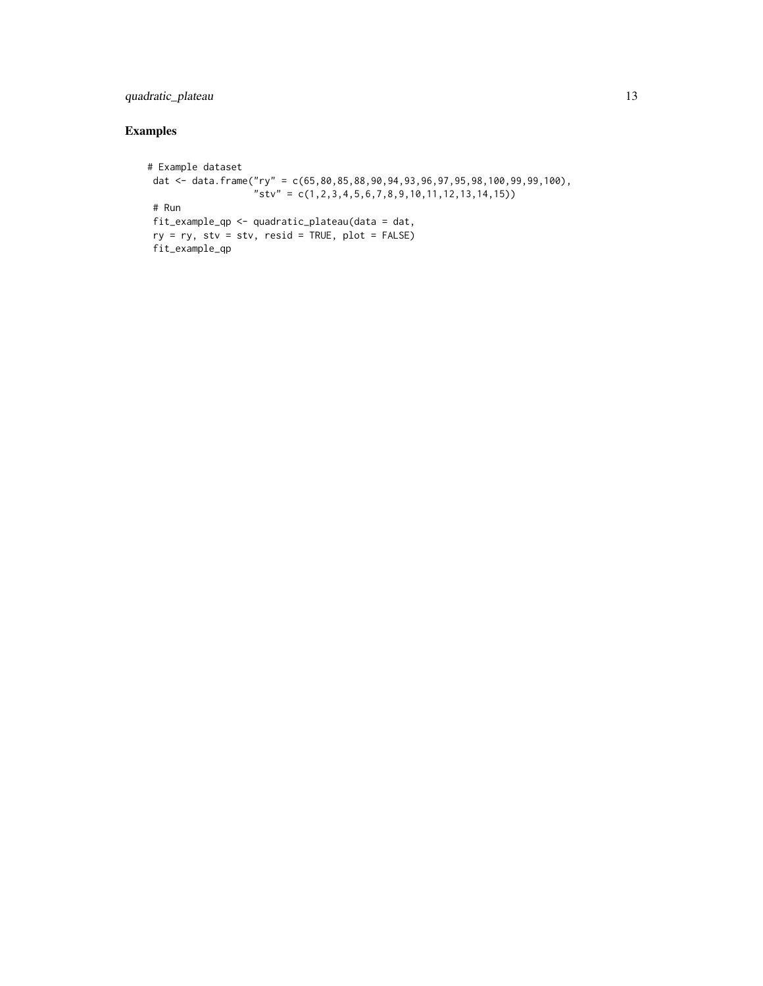## quadratic\_plateau 13

## Examples

```
# Example dataset
dat <- data.frame("ry" = c(65,80,85,88,90,94,93,96,97,95,98,100,99,99,100),
                   "stv" = c(1, 2, 3, 4, 5, 6, 7, 8, 9, 10, 11, 12, 13, 14, 15))# Run
fit_example_qp <- quadratic_plateau(data = dat,
 ry = ry, stv = stv, resid = TRUE, plot = FALSE)
 fit_example_qp
```